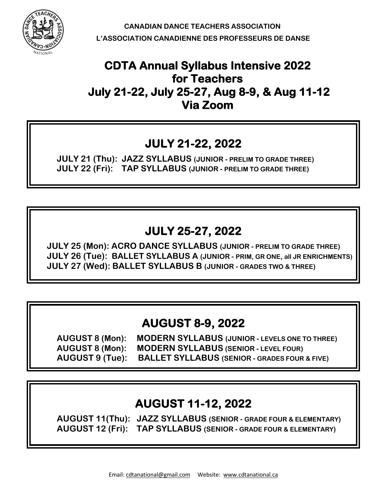

 **CANADIAN DANCE TEACHERS ASSOCIATION L'ASSOCIATION CANADIENNE DES PROFESSEURS DE DANSE**

## **CDTA Annual Syllabus Intensive 2022 for Teachers July 21-22, July 25-27, Aug 8-9, & Aug 11-12 Via Zoom**

# **JULY 21-22, 2022**

 **JULY 21 (Thu): JAZZ SYLLABUS (JUNIOR - PRELIM TO GRADE THREE) JULY 22 (Fri): TAP SYLLABUS (JUNIOR - PRELIM TO GRADE THREE)**

# **JULY 25-27, 2022**

 **JULY 25 (Mon): ACRO DANCE SYLLABUS (JUNIOR - PRELIM TO GRADE THREE) JULY 26 (Tue): BALLET SYLLABUS A (JUNIOR - PRIM, GR ONE, all JR ENRICHMENTS) JULY 27 (Wed): BALLET SYLLABUS B (JUNIOR - GRADES TWO & THREE)**

## **AUGUST 8-9, 2022**

**AUGUST 8 (Mon): MODERN SYLLABUS (JUNIOR - LEVELS ONE TO THREE) AUGUST 8 (Mon): MODERN SYLLABUS (SENIOR - LEVEL FOUR) AUGUST 9 (Tue): BALLET SYLLABUS (SENIOR - GRADES FOUR & FIVE)** 

# **AUGUST 11-12, 2022**

**AUGUST 11(Thu): JAZZ SYLLABUS (SENIOR - GRADE FOUR & ELEMENTARY) AUGUST 12 (Fri): TAP SYLLABUS (SENIOR - GRADE FOUR & ELEMENTARY)**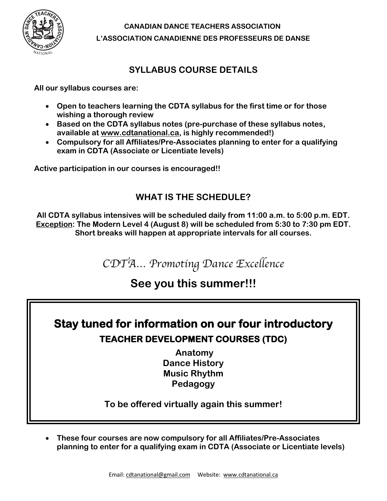

 **CANADIAN DANCE TEACHERS ASSOCIATION L'ASSOCIATION CANADIENNE DES PROFESSEURS DE DANSE**

## **SYLLABUS COURSE DETAILS**

**All our syllabus courses are:**

- **Open to teachers learning the CDTA syllabus for the first time or for those wishing a thorough review**
- **Based on the CDTA syllabus notes (pre-purchase of these syllabus notes, available at www.cdtanational.ca, is highly recommended!)**
- **Compulsory for all Affiliates/Pre-Associates planning to enter for a qualifying exam in CDTA (Associate or Licentiate levels)**

**Active participation in our courses is encouraged!!**

## **WHAT IS THE SCHEDULE?**

**All CDTA syllabus intensives will be scheduled daily from 11:00 a.m. to 5:00 p.m. EDT. Exception: The Modern Level 4 (August 8) will be scheduled from 5:30 to 7:30 pm EDT. Short breaks will happen at appropriate intervals for all courses.**

*CDTA… Promoting Dance Excellence*

## **See you this summer!!!**

# **Stay tuned for information on our four introductory TEACHER DEVELOPMENT COURSES (TDC)**

**Anatomy Dance History Music Rhythm Pedagogy**

**To be offered virtually again this summer!**

• **These four courses are now compulsory for all Affiliates/Pre-Associates planning to enter for a qualifying exam in CDTA (Associate or Licentiate levels)**